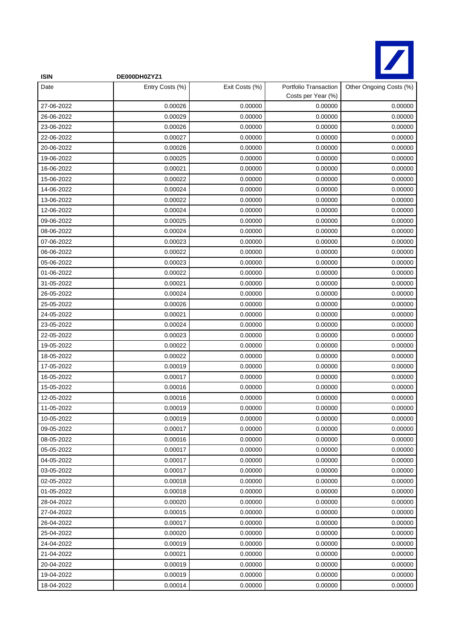

| <b>ISIN</b> | DE000DH0ZYZ1    |                |                                             |                         |
|-------------|-----------------|----------------|---------------------------------------------|-------------------------|
| Date        | Entry Costs (%) | Exit Costs (%) | Portfolio Transaction<br>Costs per Year (%) | Other Ongoing Costs (%) |
| 27-06-2022  | 0.00026         | 0.00000        | 0.00000                                     | 0.00000                 |
| 26-06-2022  | 0.00029         | 0.00000        | 0.00000                                     | 0.00000                 |
| 23-06-2022  | 0.00026         | 0.00000        | 0.00000                                     | 0.00000                 |
| 22-06-2022  | 0.00027         | 0.00000        | 0.00000                                     | 0.00000                 |
| 20-06-2022  | 0.00026         | 0.00000        | 0.00000                                     | 0.00000                 |
| 19-06-2022  | 0.00025         | 0.00000        | 0.00000                                     | 0.00000                 |
| 16-06-2022  | 0.00021         | 0.00000        | 0.00000                                     | 0.00000                 |
| 15-06-2022  | 0.00022         | 0.00000        | 0.00000                                     | 0.00000                 |
| 14-06-2022  | 0.00024         | 0.00000        | 0.00000                                     | 0.00000                 |
| 13-06-2022  | 0.00022         | 0.00000        | 0.00000                                     | 0.00000                 |
| 12-06-2022  | 0.00024         | 0.00000        | 0.00000                                     | 0.00000                 |
| 09-06-2022  | 0.00025         | 0.00000        | 0.00000                                     | 0.00000                 |
| 08-06-2022  | 0.00024         | 0.00000        | 0.00000                                     | 0.00000                 |
| 07-06-2022  | 0.00023         | 0.00000        | 0.00000                                     | 0.00000                 |
| 06-06-2022  | 0.00022         | 0.00000        | 0.00000                                     | 0.00000                 |
| 05-06-2022  | 0.00023         | 0.00000        | 0.00000                                     | 0.00000                 |
| 01-06-2022  | 0.00022         | 0.00000        | 0.00000                                     | 0.00000                 |
| 31-05-2022  | 0.00021         | 0.00000        | 0.00000                                     | 0.00000                 |
| 26-05-2022  | 0.00024         | 0.00000        | 0.00000                                     | 0.00000                 |
| 25-05-2022  | 0.00026         | 0.00000        | 0.00000                                     | 0.00000                 |
| 24-05-2022  | 0.00021         | 0.00000        | 0.00000                                     | 0.00000                 |
| 23-05-2022  | 0.00024         | 0.00000        | 0.00000                                     | 0.00000                 |
| 22-05-2022  | 0.00023         | 0.00000        | 0.00000                                     | 0.00000                 |
| 19-05-2022  | 0.00022         | 0.00000        | 0.00000                                     | 0.00000                 |
| 18-05-2022  | 0.00022         | 0.00000        | 0.00000                                     | 0.00000                 |
| 17-05-2022  | 0.00019         | 0.00000        | 0.00000                                     | 0.00000                 |
| 16-05-2022  | 0.00017         | 0.00000        | 0.00000                                     | 0.00000                 |
| 15-05-2022  | 0.00016         | 0.00000        | 0.00000                                     | 0.00000                 |
| 12-05-2022  | 0.00016         | 0.00000        | 0.00000                                     | 0.00000                 |
| 11-05-2022  | 0.00019         | 0.00000        | 0.00000                                     | 0.00000                 |
| 10-05-2022  | 0.00019         | 0.00000        | 0.00000                                     | 0.00000                 |
| 09-05-2022  | 0.00017         | 0.00000        | 0.00000                                     | 0.00000                 |
| 08-05-2022  | 0.00016         | 0.00000        | 0.00000                                     | 0.00000                 |
| 05-05-2022  | 0.00017         | 0.00000        | 0.00000                                     | 0.00000                 |
| 04-05-2022  | 0.00017         | 0.00000        | 0.00000                                     | 0.00000                 |
| 03-05-2022  | 0.00017         | 0.00000        | 0.00000                                     | 0.00000                 |
| 02-05-2022  | 0.00018         | 0.00000        | 0.00000                                     | 0.00000                 |
| 01-05-2022  | 0.00018         | 0.00000        | 0.00000                                     | 0.00000                 |
| 28-04-2022  | 0.00020         | 0.00000        | 0.00000                                     | 0.00000                 |
| 27-04-2022  | 0.00015         | 0.00000        | 0.00000                                     | 0.00000                 |
| 26-04-2022  | 0.00017         | 0.00000        | 0.00000                                     | 0.00000                 |
| 25-04-2022  | 0.00020         | 0.00000        | 0.00000                                     | 0.00000                 |
| 24-04-2022  | 0.00019         | 0.00000        | 0.00000                                     | 0.00000                 |
| 21-04-2022  | 0.00021         | 0.00000        | 0.00000                                     | 0.00000                 |
| 20-04-2022  | 0.00019         | 0.00000        | 0.00000                                     | 0.00000                 |
| 19-04-2022  | 0.00019         | 0.00000        | 0.00000                                     | 0.00000                 |
| 18-04-2022  | 0.00014         | 0.00000        | 0.00000                                     | 0.00000                 |